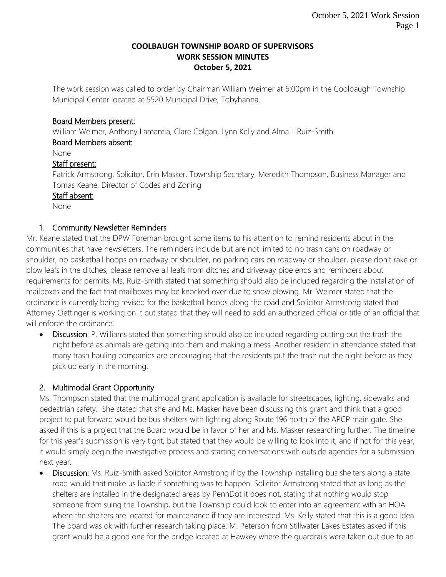#### **COOLBAUGH TOWNSHIP BOARD OF SUPERVISORS WORK SESSION MINUTES October 5, 2021**

The work session was called to order by Chairman William Weimer at 6:00pm in the Coolbaugh Township Municipal Center located at 5520 Municipal Drive, Tobyhanna.

### Board Members present:

William Weimer, Anthony Lamantia, Clare Colgan, Lynn Kelly and Alma I. Ruiz-Smith

#### Board Members absent:

None

## Staff present:

Patrick Armstrong, Solicitor, Erin Masker, Township Secretary, Meredith Thompson, Business Manager and Tomas Keane, Director of Codes and Zoning

### Staff absent:

None

### 1. Community Newsletter Reminders

Mr. Keane stated that the DPW Foreman brought some items to his attention to remind residents about in the communities that have newsletters. The reminders include but are not limited to no trash cans on roadway or shoulder, no basketball hoops on roadway or shoulder, no parking cars on roadway or shoulder, please don't rake or blow leafs in the ditches, please remove all leafs from ditches and driveway pipe ends and reminders about requirements for permits. Ms. Ruiz-Smith stated that something should also be included regarding the installation of mailboxes and the fact that mailboxes may be knocked over due to snow plowing. Mr. Weimer stated that the ordinance is currently being revised for the basketball hoops along the road and Solicitor Armstrong stated that Attorney Oettinger is working on it but stated that they will need to add an authorized official or title of an official that will enforce the ordinance.

• Discussion: P. Williams stated that something should also be included regarding putting out the trash the night before as animals are getting into them and making a mess. Another resident in attendance stated that many trash hauling companies are encouraging that the residents put the trash out the night before as they pick up early in the morning.

# 2. Multimodal Grant Opportunity

Ms. Thompson stated that the multimodal grant application is available for streetscapes, lighting, sidewalks and pedestrian safety. She stated that she and Ms. Masker have been discussing this grant and think that a good project to put forward would be bus shelters with lighting along Route 196 north of the APCP main gate. She asked if this is a project that the Board would be in favor of her and Ms. Masker researching further. The timeline for this year's submission is very tight, but stated that they would be willing to look into it, and if not for this year, it would simply begin the investigative process and starting conversations with outside agencies for a submission next year.

 Discussion: Ms. Ruiz-Smith asked Solicitor Armstrong if by the Township installing bus shelters along a state road would that make us liable if something was to happen. Solicitor Armstrong stated that as long as the shelters are installed in the designated areas by PennDot it does not, stating that nothing would stop someone from suing the Township, but the Township could look to enter into an agreement with an HOA where the shelters are located for maintenance if they are interested. Ms. Kelly stated that this is a good idea. The board was ok with further research taking place. M. Peterson from Stillwater Lakes Estates asked if this grant would be a good one for the bridge located at Hawkey where the guardrails were taken out due to an